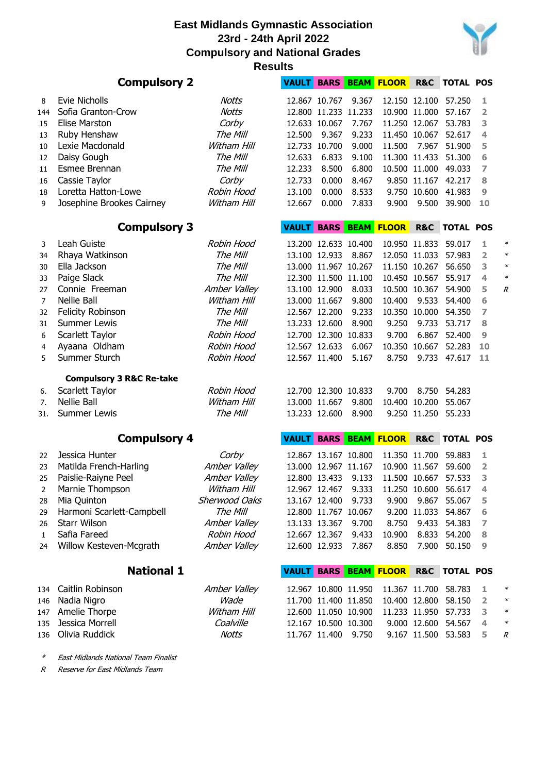

|                | <b>Compulsory 2</b>                 | <b>VAULT</b>              |                      |                                       | <b>BARS BEAM FLOOR</b> | R&C                    | <b>TOTAL POS</b>             |                          |                |        |
|----------------|-------------------------------------|---------------------------|----------------------|---------------------------------------|------------------------|------------------------|------------------------------|--------------------------|----------------|--------|
| 8              | Evie Nicholls                       | Notts                     |                      | 12.867 10.767                         | 9.367                  |                        | 12.150 12.100                | 57.250                   | 1              |        |
| 144            | Sofia Granton-Crow                  | <b>Notts</b>              |                      | 12.800 11.233 11.233                  |                        |                        | 10.900 11.000                | 57.167                   | $\overline{2}$ |        |
| 15             | Elise Marston                       | Corby                     |                      | 12.633 10.067                         | 7.767                  |                        | 11.250 12.067                | 53.783                   | 3              |        |
| 13             | Ruby Henshaw                        | The Mill                  | 12.500               | 9.367                                 | 9.233                  |                        | 11.450 10.067                | 52.617                   | 4              |        |
| 10             | Lexie Macdonald                     | Witham Hill               |                      | 12.733 10.700                         | 9.000                  | 11.500                 | 7.967                        | 51.900                   | 5              |        |
| 12             | Daisy Gough                         | The Mill                  | 12.633               | 6.833                                 | 9.100                  |                        | 11.300 11.433                | 51.300                   | 6              |        |
| 11             | Esmee Brennan                       | The Mill                  | 12.233               | 8.500                                 | 6.800                  |                        | 10.500 11.000                | 49.033                   | 7              |        |
| 16             | Cassie Taylor                       | Corby                     | 12.733               | 0.000                                 | 8.467                  |                        | 9.850 11.167                 | 42.217                   | 8              |        |
| 18             | Loretta Hatton-Lowe                 | Robin Hood                | 13.100               | 0.000                                 | 8.533                  |                        | 9.750 10.600                 | 41.983                   | 9              |        |
| 9              | Josephine Brookes Cairney           | Witham Hill               | 12.667               | 0.000                                 | 7.833                  | 9.900                  | 9.500                        | 39.900                   | 10             |        |
|                |                                     |                           |                      |                                       |                        |                        |                              |                          |                |        |
|                | <b>Compulsory 3</b>                 |                           | <b>VAULT</b>         |                                       |                        | <b>BARS BEAM FLOOR</b> |                              | <b>R&amp;C TOTAL POS</b> |                |        |
| 3              | Leah Guiste                         | Robin Hood                |                      | 13.200 12.633 10.400                  |                        |                        | 10.950 11.833                | 59.017                   | 1              | ∗      |
| 34             | Rhaya Watkinson                     | The Mill                  |                      | 13.100 12.933                         | 8.867                  |                        | 12.050 11.033                | 57.983                   | 2              | ∗      |
| 30             | Ella Jackson                        | The Mill                  |                      | 13.000 11.967 10.267                  |                        |                        | 11.150 10.267                | 56.650                   | 3              | $\ast$ |
| 33             | Paige Slack                         | The Mill                  |                      | 12.300 11.500 11.100                  |                        |                        | 10.450 10.567                | 55.917                   | 4              | $\ast$ |
| 27             | Connie Freeman                      | Amber Valley              |                      | 13.100 12.900                         | 8.033                  |                        | 10.500 10.367                | 54.900                   | 5              | R      |
| $\overline{7}$ | Nellie Ball                         | Witham Hill               |                      | 13.000 11.667                         | 9.800                  | 10.400                 | 9.533                        | 54.400                   | 6              |        |
| 32             | <b>Felicity Robinson</b>            | The Mill                  |                      | 12.567 12.200                         | 9.233                  |                        | 10.350 10.000                | 54.350                   | 7              |        |
| 31             | <b>Summer Lewis</b>                 | The Mill                  |                      | 13.233 12.600                         | 8.900                  | 9.250                  | 9.733                        | 53.717                   | 8              |        |
| 6              | Scarlett Taylor                     | Robin Hood                |                      | 12.700 12.300                         | 10.833                 | 9.700                  | 6.867                        | 52.400                   | 9              |        |
| 4              | Ayaana Oldham                       | Robin Hood                |                      | 12.567 12.633                         | 6.067                  | 10.350                 | 10.667                       | 52.283                   | 10             |        |
| 5              | Summer Sturch                       | Robin Hood                |                      | 12.567 11.400                         | 5.167                  | 8.750                  | 9.733                        | 47.617                   | 11             |        |
|                |                                     |                           |                      |                                       |                        |                        |                              |                          |                |        |
|                | <b>Compulsory 3 R&amp;C Re-take</b> |                           |                      |                                       |                        |                        |                              |                          |                |        |
| 6.             | Scarlett Taylor                     | Robin Hood                |                      | 12.700 12.300 10.833                  |                        | 9.700                  | 8.750                        | 54.283                   |                |        |
| 7.             | Nellie Ball                         | Witham Hill               |                      | 13.000 11.667                         | 9.800                  |                        | 10.400 10.200                | 55.067                   |                |        |
| 31.            | <b>Summer Lewis</b>                 | The Mill                  |                      | 13.233 12.600                         | 8.900                  |                        | 9.250 11.250                 | 55.233                   |                |        |
|                | <b>Compulsory 4</b>                 |                           | <b>VAULT</b>         | <b>BARS</b>                           |                        | BEAM FLOOR             | R&C                          | <b>TOTAL POS</b>         |                |        |
| 22             | Jessica Hunter                      | Corby                     |                      | 12.867 13.167 10.800                  |                        |                        | 11.350 11.700                | 59.883                   | 1              |        |
| 23             | Matilda French-Harling              | Amber Valley              |                      | 13.000 12.967 11.167                  |                        |                        | 10.900 11.567                | 59.600                   | $\overline{2}$ |        |
| 25             | Paislie-Raiyne Peel                 | Amber Valley              |                      | 12.800 13.433                         | 9.133                  |                        | 11.500 10.667                | 57.533                   | 3              |        |
| 2              | Marnie Thompson                     | Witham Hill               |                      |                                       | 12.967 12.467 9.333    | 11.250 10.600          |                              | 56.617                   | $\overline{4}$ |        |
| 28             | Mia Quinton                         | Sherwood Oaks             |                      | 13.167 12.400                         | 9.733                  | 9.900                  |                              | 9.867 55.067             | 5              |        |
| 29             | Harmoni Scarlett-Campbell           | The Mill                  |                      | 12.800 11.767 10.067                  |                        |                        | 9.200 11.033                 | 54.867                   | 6              |        |
| 26             | <b>Starr Wilson</b>                 | Amber Valley              |                      | 13.133 13.367                         | 9.700                  | 8.750                  | 9.433                        | 54.383                   | 7              |        |
| $\mathbf{1}$   | Safia Fareed                        | Robin Hood                |                      | 12.667 12.367                         | 9.433                  | 10.900                 |                              | 8.833 54.200             | 8              |        |
| 24             | Willow Kesteven-Mcgrath             | Amber Valley              |                      | 12.600 12.933                         | 7.867                  | 8.850                  | 7.900                        | 50.150                   | 9              |        |
|                |                                     |                           |                      |                                       |                        |                        |                              |                          |                |        |
|                | <b>National 1</b>                   |                           |                      |                                       |                        | VAULT BARS BEAM FLOOR  |                              | <b>R&amp;C TOTAL POS</b> |                |        |
| 134            | Caitlin Robinson                    | Amber Valley              |                      | 12.967 10.800 11.950                  |                        |                        | 11.367 11.700                | 58.783                   | ı              | $\ast$ |
| 146            | Nadia Nigro                         | Wade                      |                      | 11.700 11.400 11.850                  |                        |                        | 10.400 12.800                | 58.150                   | 2              | $\ast$ |
| 147            | Amelie Thorpe                       | Witham Hill               |                      |                                       |                        |                        | 11.233 11.950                | 57.733                   | з              | $\ast$ |
|                |                                     |                           |                      |                                       |                        |                        |                              |                          |                |        |
|                |                                     |                           | 12.600 11.050 10.900 |                                       |                        |                        |                              |                          | 4              | $\ast$ |
| 135<br>136     | Jessica Morrell<br>Olivia Ruddick   | Coalville<br><b>Notts</b> |                      | 12.167 10.500 10.300<br>11.767 11.400 | 9.750                  |                        | 9.000 12.600<br>9.167 11.500 | 54.567<br>53.583         | 5              | R      |

\*East Midlands National Team Finalist

R Reserve for East Midlands Team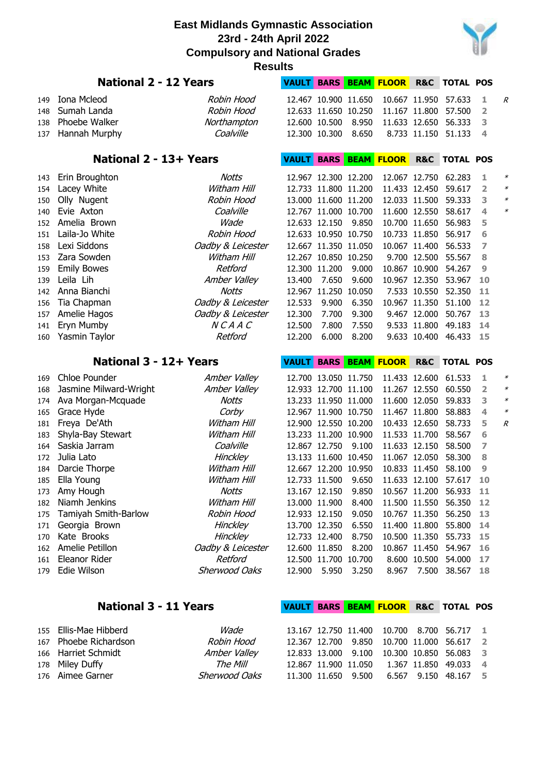

|     | Results                      |                   |              |                      |       |                        |                |                          |    |        |  |  |  |
|-----|------------------------------|-------------------|--------------|----------------------|-------|------------------------|----------------|--------------------------|----|--------|--|--|--|
|     | <b>National 2 - 12 Years</b> |                   | <b>VAULT</b> |                      |       | <b>BARS BEAM FLOOR</b> |                | <b>R&amp;C TOTAL POS</b> |    |        |  |  |  |
| 149 | Iona Mcleod                  | Robin Hood        |              | 12.467 10.900 11.650 |       |                        | 10.667 11.950  | 57.633                   | 1  | R      |  |  |  |
| 148 | Sumah Landa                  | Robin Hood        |              | 12.633 11.650 10.250 |       |                        | 11.167 11.800  | 57.500                   | 2  |        |  |  |  |
| 138 | Phoebe Walker                | Northampton       |              | 12.600 10.500        | 8.950 |                        | 11.633 12.650  | 56.333                   | 3  |        |  |  |  |
| 137 | Hannah Murphy                | Coalville         |              | 12.300 10.300        | 8.650 |                        | 8.733 11.150   | 51.133                   | 4  |        |  |  |  |
|     |                              |                   |              |                      |       |                        |                |                          |    |        |  |  |  |
|     | National 2 - 13+ Years       |                   | <b>VAULT</b> | <b>BARS</b>          |       | <b>BEAM FLOOR</b>      | <b>R&amp;C</b> | <b>TOTAL POS</b>         |    |        |  |  |  |
| 143 | Erin Broughton               | Notts             |              | 12.967 12.300 12.200 |       |                        | 12.067 12.750  | 62.283                   | 1  | ∗      |  |  |  |
| 154 | Lacey White                  | Witham Hill       |              | 12.733 11.800 11.200 |       |                        | 11.433 12.450  | 59.617                   | 2  |        |  |  |  |
| 150 | Olly Nugent                  | Robin Hood        |              | 13.000 11.600 11.200 |       |                        | 12.033 11.500  | 59.333                   | 3  | $\ast$ |  |  |  |
| 140 | Evie Axton                   | Coalville         |              | 12.767 11.000 10.700 |       |                        | 11.600 12.550  | 58.617                   | 4  | $\ast$ |  |  |  |
| 152 | Amelia Brown                 | Wade              |              | 12.633 12.150        | 9.850 |                        | 10.700 11.650  | 56.983                   | 5  |        |  |  |  |
| 151 | Laila-Jo White               | Robin Hood        |              | 12.633 10.950 10.750 |       |                        | 10.733 11.850  | 56.917                   | 6  |        |  |  |  |
| 158 | Lexi Siddons                 | Oadby & Leicester |              | 12.667 11.350 11.050 |       |                        | 10.067 11.400  | 56.533                   | 7  |        |  |  |  |
| 153 | Zara Sowden                  | Witham Hill       |              | 12.267 10.850 10.250 |       |                        | 9.700 12.500   | 55.567                   | 8  |        |  |  |  |
| 159 | <b>Emily Bowes</b>           | Retford           |              | 12.300 11.200        | 9.000 |                        | 10.867 10.900  | 54.267                   | 9  |        |  |  |  |
| 139 | Leila Lih                    | Amber Valley      | 13.400       | 7.650                | 9.600 |                        | 10.967 12.350  | 53.967                   | 10 |        |  |  |  |
| 142 | Anna Bianchi                 | <b>Notts</b>      |              | 12.967 11.250 10.050 |       |                        | 7.533 10.550   | 52.350                   | 11 |        |  |  |  |
| 156 | Tia Chapman                  | Oadby & Leicester | 12.533       | 9.900                | 6.350 |                        | 10.967 11.350  | 51.100                   | 12 |        |  |  |  |
| 157 | Amelie Hagos                 | Oadby & Leicester | 12.300       | 7.700                | 9.300 |                        | 9.467 12.000   | 50.767                   | 13 |        |  |  |  |
| 141 | Eryn Mumby                   | NCAAC             | 12.500       | 7.800                | 7.550 |                        | 9.533 11.800   | 49.183                   | 14 |        |  |  |  |
| 160 | Yasmin Taylor                | Retford           | 12.200       | 6.000                | 8.200 |                        | 9.633 10.400   | 46.433                   | 15 |        |  |  |  |
|     |                              |                   |              |                      |       |                        |                |                          |    |        |  |  |  |
|     | National 3 - 12+ Years       |                   |              |                      |       |                        |                |                          |    |        |  |  |  |
|     |                              |                   | <b>VAULT</b> |                      |       | <b>BARS BEAM FLOOR</b> | <b>R&amp;C</b> | <b>TOTAL POS</b>         |    |        |  |  |  |
| 169 | Chloe Pounder                | Amber Valley      |              | 12.700 13.050 11.750 |       |                        | 11.433 12.600  | 61.533                   | 1  | ∗      |  |  |  |
| 168 | Jasmine Milward-Wright       | Amber Valley      |              | 12.933 12.700 11.100 |       |                        | 11.267 12.550  | 60.550                   | 2  | $\ast$ |  |  |  |
| 174 | Ava Morgan-Mcquade           | <b>Notts</b>      |              | 13.233 11.950 11.000 |       |                        | 11.600 12.050  | 59.833                   | 3  | $\ast$ |  |  |  |
| 165 | Grace Hyde                   | Corby             |              | 12.967 11.900 10.750 |       |                        | 11.467 11.800  | 58.883                   | 4  | $\ast$ |  |  |  |
| 181 | Freya De'Ath                 | Witham Hill       |              | 12.900 12.550 10.200 |       |                        | 10.433 12.650  | 58.733                   | 5  | R      |  |  |  |
| 183 | Shyla-Bay Stewart            | Witham Hill       |              | 13.233 11.200 10.900 |       |                        | 11.533 11.700  | 58.567                   | 6  |        |  |  |  |
| 164 | Saskia Jarram                | Coalville         |              | 12.867 12.750        | 9.100 |                        | 11.633 12.150  | 58.500                   | 7  |        |  |  |  |
| 172 | Julia Lato                   | <b>Hinckley</b>   |              | 13.133 11.600 10.450 |       |                        | 11.067 12.050  | 58.300                   | 8  |        |  |  |  |
| 184 | Darcie Thorpe                | Witham Hill       |              | 12.667 12.200 10.950 |       |                        | 10.833 11.450  | 58.100                   | 9  |        |  |  |  |
| 185 | Ella Young                   | Witham Hill       |              | 12.733 11.500        | 9.650 |                        | 11.633 12.100  | 57.617                   | 10 |        |  |  |  |
| 173 | Amy Hough                    | <b>Notts</b>      |              | 13.167 12.150        | 9.850 |                        | 10.567 11.200  | 56.933                   | 11 |        |  |  |  |
| 182 | Niamh Jenkins                | Witham Hill       |              | 13.000 11.900        | 8.400 |                        | 11.500 11.550  | 56.350                   | 12 |        |  |  |  |
| 175 | Tamiyah Smith-Barlow         | Robin Hood        |              | 12.933 12.150        | 9.050 |                        | 10.767 11.350  | 56.250                   | 13 |        |  |  |  |
| 171 | Georgia Brown                | <b>Hinckley</b>   |              | 13.700 12.350        | 6.550 |                        | 11.400 11.800  | 55.800                   | 14 |        |  |  |  |
| 170 | Kate Brooks                  | Hinckley          |              | 12.733 12.400        | 8.750 |                        | 10.500 11.350  | 55.733                   | 15 |        |  |  |  |
| 162 | Amelie Petillon              | Oadby & Leicester |              | 12.600 11.850        | 8.200 |                        | 10.867 11.450  | 54.967                   | 16 |        |  |  |  |
| 161 | Eleanor Rider                | Retford           |              | 12.500 11.700 10.700 |       |                        | 8.600 10.500   | 54.000                   | 17 |        |  |  |  |
| 179 | Edie Wilson                  | Sherwood Oaks     |              | 12.900 5.950         | 3.250 |                        |                | 8.967 7.500 38.567       | 18 |        |  |  |  |
|     |                              |                   |              |                      |       |                        |                |                          |    |        |  |  |  |
|     |                              |                   |              |                      |       |                        |                |                          |    |        |  |  |  |
|     | <b>National 3 - 11 Years</b> |                   | <b>VAULT</b> |                      |       | <b>BARS BEAM FLOOR</b> |                | <b>R&amp;C TOTAL POS</b> |    |        |  |  |  |

| 155 Ellis-Mae Hibberd | Wade          |  |  | 13.167 12.750 11.400 10.700 8.700 56.717 1 |  |
|-----------------------|---------------|--|--|--------------------------------------------|--|
| 167 Phoebe Richardson | Robin Hood    |  |  | 12.367 12.700 9.850 10.700 11.000 56.617 2 |  |
| 166 Harriet Schmidt   | Amber Valley  |  |  | 12.833 13.000 9.100 10.300 10.850 56.083 3 |  |
| 178 Miley Duffy       | The Mill      |  |  | 12.867 11.900 11.050 1.367 11.850 49.033 4 |  |
| 176 Aimee Garner      | Sherwood Oaks |  |  | 11.300 11.650 9.500 6.567 9.150 48.167 5   |  |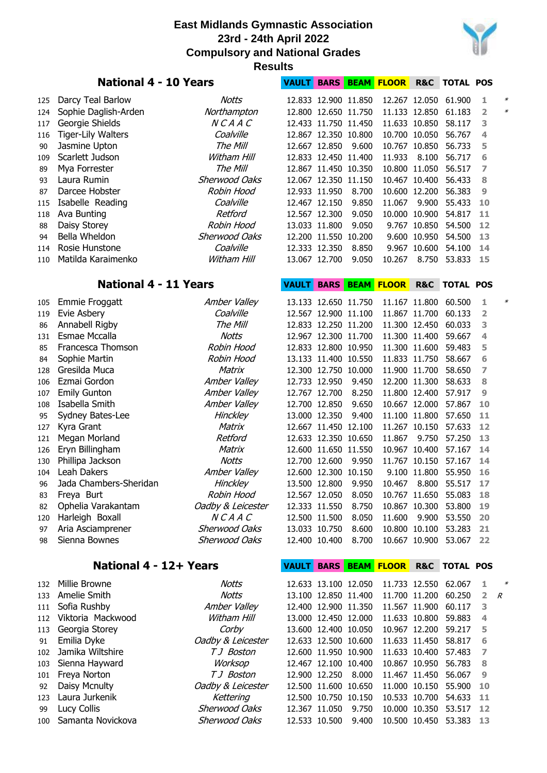

|     | <b>National 4 - 10 Years</b> | <b>VAULT</b>         |              |                      | <b>BARS BEAM FLOOR</b> | <b>R&amp;C</b>         | <b>TOTAL POS</b> |                          |                |        |
|-----|------------------------------|----------------------|--------------|----------------------|------------------------|------------------------|------------------|--------------------------|----------------|--------|
| 125 | Darcy Teal Barlow            | Notts                |              | 12.833 12.900 11.850 |                        |                        | 12.267 12.050    | 61.900                   | 1              | ≯      |
| 124 | Sophie Daglish-Arden         | Northampton          |              | 12.800 12.650 11.750 |                        |                        | 11.133 12.850    | 61.183                   | $\overline{2}$ | $\ast$ |
| 117 | Georgie Shields              | NCAAC                |              | 12.433 11.750 11.450 |                        |                        | 11.633 10.850    | 58.117                   | 3              |        |
| 116 | <b>Tiger-Lily Walters</b>    | Coalville            |              | 12.867 12.350 10.800 |                        |                        | 10.700 10.050    | 56.767                   | 4              |        |
| 90  | Jasmine Upton                | The Mill             |              | 12.667 12.850        | 9.600                  |                        | 10.767 10.850    | 56.733                   | 5              |        |
| 109 | Scarlett Judson              | Witham Hill          |              | 12.833 12.450 11.400 |                        | 11.933                 | 8.100            | 56.717                   | 6              |        |
| 89  | Mya Forrester                | The Mill             |              | 12.867 11.450 10.350 |                        |                        | 10.800 11.050    | 56.517                   | 7              |        |
| 93  | Laura Rumin                  | Sherwood Oaks        |              | 12.067 12.350 11.150 |                        |                        | 10.467 10.400    | 56.433                   | 8              |        |
| 87  | Darcee Hobster               | Robin Hood           |              | 12.933 11.950        | 8.700                  |                        | 10.600 12.200    | 56.383                   | 9              |        |
| 115 | Isabelle Reading             | Coalville            |              | 12.467 12.150        | 9.850                  | 11.067                 | 9.900            | 55.433                   | 10             |        |
| 118 | Ava Bunting                  | Retford              |              | 12.567 12.300        | 9.050                  |                        | 10.000 10.900    | 54.817                   | 11             |        |
| 88  | Daisy Storey                 | Robin Hood           |              | 13.033 11.800        | 9.050                  |                        | 9.767 10.850     | 54.500                   | 12             |        |
| 94  | Bella Wheldon                | Sherwood Oaks        |              | 12.200 11.550 10.200 |                        |                        | 9.600 10.950     | 54.500                   | 13             |        |
| 114 | Rosie Hunstone               | Coalville            |              | 12.333 12.350        | 8.850                  |                        | 9.967 10.600     | 54.100                   | 14             |        |
| 110 | Matilda Karaimenko           | Witham Hill          |              | 13.067 12.700        | 9.050                  | 10.267                 | 8.750            | 53.833                   | 15             |        |
|     |                              |                      |              |                      |                        |                        |                  |                          |                |        |
|     | <b>National 4 - 11 Years</b> |                      | <b>VAULT</b> |                      |                        | <b>BARS BEAM FLOOR</b> |                  | <b>R&amp;C TOTAL POS</b> |                |        |
| 105 | Emmie Froggatt               | Amber Valley         |              | 13.133 12.650 11.750 |                        |                        | 11.167 11.800    | 60.500                   | 1              |        |
| 119 | Evie Asbery                  | Coalville            |              | 12.567 12.900 11.100 |                        |                        | 11.867 11.700    | 60.133                   | 2              |        |
| 86  | Annabell Rigby               | The Mill             |              | 12.833 12.250 11.200 |                        |                        | 11.300 12.450    | 60.033                   | 3              |        |
| 131 | Esmae Mccalla                | Notts                |              | 12.967 12.300 11.700 |                        |                        | 11.300 11.400    | 59.667                   | 4              |        |
| 85  | Francesca Thomson            | Robin Hood           |              | 12.833 12.800 10.950 |                        |                        | 11.300 11.600    | 59.483                   | 5              |        |
| 84  | Sophie Martin                | Robin Hood           |              | 13.133 11.400 10.550 |                        |                        | 11.833 11.750    | 58.667                   | 6              |        |
| 128 | Gresilda Muca                | Matrix               |              | 12.300 12.750 10.000 |                        |                        | 11.900 11.700    | 58.650                   | 7              |        |
| 106 | Ezmai Gordon                 | Amber Valley         |              | 12.733 12.950        | 9.450                  |                        | 12.200 11.300    | 58.633                   | 8              |        |
| 107 | <b>Emily Gunton</b>          | Amber Valley         |              | 12.767 12.700        | 8.250                  |                        | 11.800 12.400    | 57.917                   | 9              |        |
| 108 | Isabella Smith               | Amber Valley         |              | 12.700 12.850        | 9.650                  |                        | 10.667 12.000    | 57.867                   | 10             |        |
| 95  | Sydney Bates-Lee             | Hinckley             |              | 13.000 12.350        | 9.400                  |                        | 11.100 11.800    | 57.650                   | 11             |        |
| 127 | Kyra Grant                   | Matrix               |              | 12.667 11.450 12.100 |                        |                        | 11.267 10.150    | 57.633                   | 12             |        |
| 121 | Megan Morland                | Retford              |              | 12.633 12.350 10.650 |                        | 11.867                 | 9.750            | 57.250                   | 13             |        |
| 126 | Eryn Billingham              | Matrix               |              | 12.600 11.650 11.550 |                        |                        | 10.967 10.400    | 57.167                   | 14             |        |
| 130 | Phillipa Jackson             | Notts                |              | 12.700 12.600        | 9.950                  |                        | 11.767 10.150    | 57.167                   | 14             |        |
| 104 | Leah Dakers                  | Amber Valley         |              | 12.600 12.300 10.150 |                        |                        | 9.100 11.800     | 55.950                   | 16             |        |
| 96  | Jada Chambers-Sheridan       | <b>Hinckley</b>      |              | 13.500 12.800        | 9.950                  |                        |                  | 10.467 8.800 55.517      | 17             |        |
| 83  | Freya Burt                   | Robin Hood           |              | 12.567 12.050        | 8.050                  |                        | 10.767 11.650    | 55.083                   | 18             |        |
| 82  | Ophelia Varakantam           | Oadby & Leicester    |              | 12.333 11.550        | 8.750                  |                        | 10.867 10.300    | 53.800                   | 19             |        |
| 120 | Harleigh Boxall              | <b>NCAAC</b>         |              | 12.500 11.500        | 8.050                  | 11.600                 | 9.900            | 53.550                   | 20             |        |
| 97  | Aria Asciamprener            | Sherwood Oaks        |              | 13.033 10.750        | 8.600                  |                        | 10.800 10.100    | 53.283                   | 21             |        |
| 98  | Sienna Bownes                | <b>Sherwood Oaks</b> |              | 12.400 10.400        | 8.700                  |                        | 10.667 10.900    | 53.067                   | 22             |        |
|     |                              |                      |              |                      |                        |                        |                  |                          |                |        |
|     | National 4 - 12+ Years       |                      |              |                      |                        | VAULT BARS BEAM FLOOR  |                  | <b>R&amp;C TOTAL POS</b> |                |        |
| 132 | Millie Browne                | Notts                |              | 12.633 13.100 12.050 |                        |                        | 11.733 12.550    | 62.067                   | 1              | ¥      |
| 133 | Amelie Smith                 | <b>Notts</b>         |              | 13.100 12.850 11.400 |                        |                        | 11.700 11.200    | 60.250                   | $\overline{2}$ | R      |
| 111 | Sofia Rushby                 | Amber Valley         |              | 12.400 12.900 11.350 |                        |                        | 11.567 11.900    | 60.117                   | 3              |        |

112 Viktoria Mackwood Witham Hill 113 Georgia Storey **113** 12.400 12.400 12.400 12.400 12.400 12.400 12.400 12.400 12.400 12.400 12.400 12.400 12. 91 Emilia Dyke *Oadby & Leicester* 102 Jamika Wiltshire TJ Boston 103 Sienna Hayward Worksop 101 Freya Norton TJ Boston 92 Daisy Mcnulty **Oadby & Leicester** 123 Laura Jurkenik Kettering 99 Lucy Collis Sherwood Oaks 100 Samanta Novickova Sherwood Oaks

|  |                      | 13.100 12.850 11.400 | 11.700 11.200        | 60.250                  | $\overline{2}$ |
|--|----------------------|----------------------|----------------------|-------------------------|----------------|
|  |                      | 12.400 12.900 11.350 | 11.567 11.900        | 60.117                  | 3              |
|  | 13.000 12.450 12.000 |                      | 11.633 10.800        | 59.883                  | 4              |
|  |                      | 13.600 12.400 10.050 |                      | 10.967 12.200 59.217    | 5              |
|  |                      | 12.633 12.500 10.600 |                      | 11.633 11.450 58.817    | 6              |
|  |                      | 12.600 11.950 10.900 |                      | 11.633 10.400 57.483    | $\overline{7}$ |
|  | 12.467 12.100 10.400 |                      | 10.867 10.950 56.783 |                         | 8              |
|  | 12.900 12.250 8.000  |                      |                      | 11.467 11.450 56.067    | $\overline{9}$ |
|  | 12.500 11.600 10.650 |                      | 11.000 10.150 55.900 |                         | 10             |
|  | 12.500 10.750 10.150 |                      | 10.533 10.700        | 54.633                  | 11             |
|  |                      | 12.367 11.050 9.750  |                      | 10.000 10.350 53.517    | 12             |
|  | 12.533 10.500 9.400  |                      |                      | 10.500 10.450 53.383 13 |                |